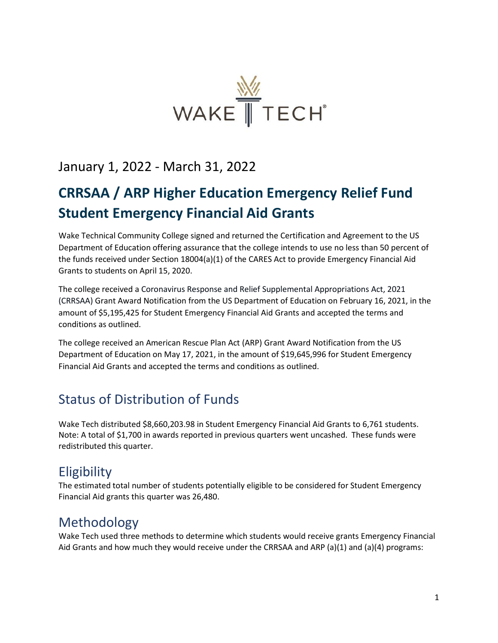

#### January 1, 2022 - March 31, 2022

# **CRRSAA / ARP Higher Education Emergency Relief Fund Student Emergency Financial Aid Grants**

Wake Technical Community College signed and returned the Certification and Agreement to the US Department of Education offering assurance that the college intends to use no less than 50 percent of the funds received under Section 18004(a)(1) of the CARES Act to provide Emergency Financial Aid Grants to students on April 15, 2020.

The college received a Coronavirus Response and Relief Supplemental Appropriations Act, 2021 (CRRSAA) Grant Award Notification from the US Department of Education on February 16, 2021, in the amount of \$5,195,425 for Student Emergency Financial Aid Grants and accepted the terms and conditions as outlined.

The college received an American Rescue Plan Act (ARP) Grant Award Notification from the US Department of Education on May 17, 2021, in the amount of \$19,645,996 for Student Emergency Financial Aid Grants and accepted the terms and conditions as outlined.

### Status of Distribution of Funds

Wake Tech distributed \$8,660,203.98 in Student Emergency Financial Aid Grants to 6,761 students. Note: A total of \$1,700 in awards reported in previous quarters went uncashed. These funds were redistributed this quarter.

### **Eligibility**

The estimated total number of students potentially eligible to be considered for Student Emergency Financial Aid grants this quarter was 26,480.

### Methodology

Wake Tech used three methods to determine which students would receive grants Emergency Financial Aid Grants and how much they would receive under the CRRSAA and ARP (a)(1) and (a)(4) programs: